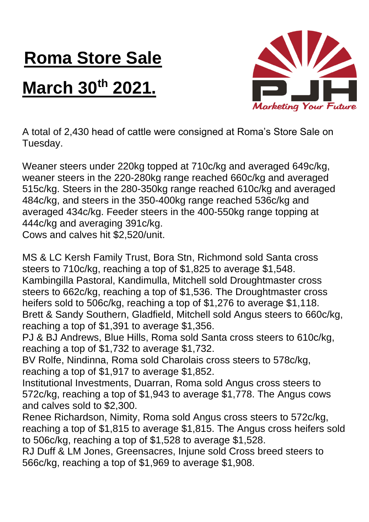## **Roma Store Sale**

## **March 30th 2021.**



A total of 2,430 head of cattle were consigned at Roma's Store Sale on Tuesday.

Weaner steers under 220kg topped at 710c/kg and averaged 649c/kg, weaner steers in the 220-280kg range reached 660c/kg and averaged 515c/kg. Steers in the 280-350kg range reached 610c/kg and averaged 484c/kg, and steers in the 350-400kg range reached 536c/kg and averaged 434c/kg. Feeder steers in the 400-550kg range topping at 444c/kg and averaging 391c/kg.

Cows and calves hit \$2,520/unit.

MS & LC Kersh Family Trust, Bora Stn, Richmond sold Santa cross steers to 710c/kg, reaching a top of \$1,825 to average \$1,548. Kambingilla Pastoral, Kandimulla, Mitchell sold Droughtmaster cross steers to 662c/kg, reaching a top of \$1,536. The Droughtmaster cross heifers sold to 506c/kg, reaching a top of \$1,276 to average \$1,118. Brett & Sandy Southern, Gladfield, Mitchell sold Angus steers to 660c/kg, reaching a top of \$1,391 to average \$1,356.

PJ & BJ Andrews, Blue Hills, Roma sold Santa cross steers to 610c/kg, reaching a top of \$1,732 to average \$1,732.

BV Rolfe, Nindinna, Roma sold Charolais cross steers to 578c/kg, reaching a top of \$1,917 to average \$1,852.

Institutional Investments, Duarran, Roma sold Angus cross steers to 572c/kg, reaching a top of \$1,943 to average \$1,778. The Angus cows and calves sold to \$2,300.

Renee Richardson, Nimity, Roma sold Angus cross steers to 572c/kg, reaching a top of \$1,815 to average \$1,815. The Angus cross heifers sold to 506c/kg, reaching a top of \$1,528 to average \$1,528.

RJ Duff & LM Jones, Greensacres, Injune sold Cross breed steers to 566c/kg, reaching a top of \$1,969 to average \$1,908.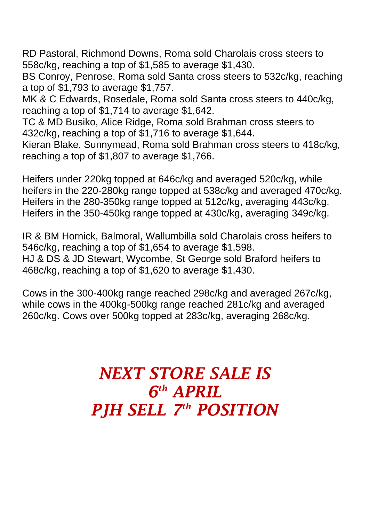RD Pastoral, Richmond Downs, Roma sold Charolais cross steers to 558c/kg, reaching a top of \$1,585 to average \$1,430.

BS Conroy, Penrose, Roma sold Santa cross steers to 532c/kg, reaching a top of \$1,793 to average \$1,757.

MK & C Edwards, Rosedale, Roma sold Santa cross steers to 440c/kg, reaching a top of \$1,714 to average \$1,642.

TC & MD Busiko, Alice Ridge, Roma sold Brahman cross steers to 432c/kg, reaching a top of \$1,716 to average \$1,644.

Kieran Blake, Sunnymead, Roma sold Brahman cross steers to 418c/kg, reaching a top of \$1,807 to average \$1,766.

Heifers under 220kg topped at 646c/kg and averaged 520c/kg, while heifers in the 220-280kg range topped at 538c/kg and averaged 470c/kg. Heifers in the 280-350kg range topped at 512c/kg, averaging 443c/kg. Heifers in the 350-450kg range topped at 430c/kg, averaging 349c/kg.

IR & BM Hornick, Balmoral, Wallumbilla sold Charolais cross heifers to 546c/kg, reaching a top of \$1,654 to average \$1,598. HJ & DS & JD Stewart, Wycombe, St George sold Braford heifers to 468c/kg, reaching a top of \$1,620 to average \$1,430.

Cows in the 300-400kg range reached 298c/kg and averaged 267c/kg, while cows in the 400kg-500kg range reached 281c/kg and averaged 260c/kg. Cows over 500kg topped at 283c/kg, averaging 268c/kg.

## *NEXT STORE SALE IS 6 th APRIL PJH SELL 7 th POSITION*